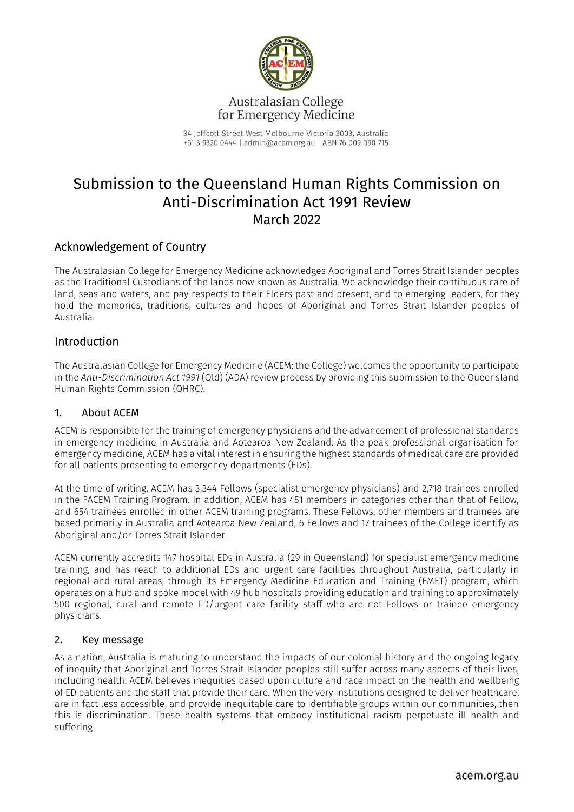

34 Jeffcott Street West Melbourne Victoria 3003, Australia +61 3 9320 0444 | admin@acem.org.au | ABN 76 009 090 715

# Submission to the Queensland Human Rights Commission on Anti-Discrimination Act 1991 Review March 2022

# Acknowledgement of Country

The Australasian College for Emergency Medicine acknowledges Aboriginal and Torres Strait Islander peoples as the Traditional Custodians of the lands now known as Australia. We acknowledge their continuous care of land, seas and waters, and pay respects to their Elders past and present, and to emerging leaders, for they hold the memories, traditions, cultures and hopes of Aboriginal and Torres Strait Islander peoples of Australia.

# Introduction

The Australasian College for Emergency Medicine (ACEM; the College) welcomes the opportunity to participate in the *Anti-Discrimination Act 1991* (Qld) (ADA) review process by providing this submission to the Queensland Human Rights Commission (QHRC).

## 1. About ACEM

ACEM is responsible for the training of emergency physicians and the advancement of professional standards in emergency medicine in Australia and Aotearoa New Zealand. As the peak professional organisation for emergency medicine, ACEM has a vital interest in ensuring the highest standards of medical care are provided for all patients presenting to emergency departments (EDs).

At the time of writing, ACEM has 3,344 Fellows (specialist emergency physicians) and 2,718 trainees enrolled in the FACEM Training Program. In addition, ACEM has 451 members in categories other than that of Fellow, and 654 trainees enrolled in other ACEM training programs. These Fellows, other members and trainees are based primarily in Australia and Aotearoa New Zealand; 6 Fellows and 17 trainees of the College identify as Aboriginal and/or Torres Strait Islander.

ACEM currently accredits 147 hospital EDs in Australia (29 in Queensland) for specialist emergency medicine training, and has reach to additional EDs and urgent care facilities throughout Australia, particularly in regional and rural areas, through its Emergency Medicine Education and Training (EMET) program, which operates on a hub and spoke model with 49 hub hospitals providing education and training to approximately 500 regional, rural and remote ED/urgent care facility staff who are not Fellows or trainee emergency physicians.

### 2. Key message

As a nation, Australia is maturing to understand the impacts of our colonial history and the ongoing legacy of inequity that Aboriginal and Torres Strait Islander peoples still suffer across many aspects of their lives, including health. ACEM believes inequities based upon culture and race impact on the health and wellbeing of ED patients and the staff that provide their care. When the very institutions designed to deliver healthcare, are in fact less accessible, and provide inequitable care to identifiable groups within our communities, then this is discrimination. These health systems that embody institutional racism perpetuate ill health and suffering.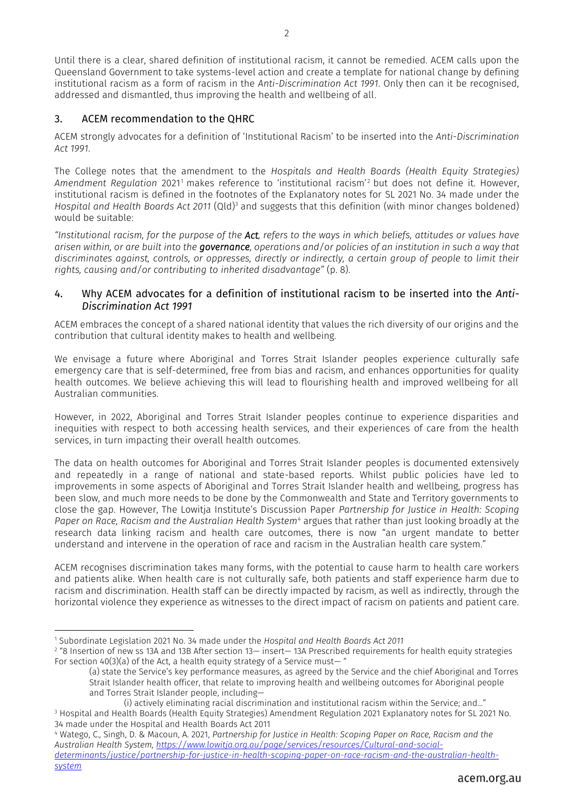$\overline{2}$ 

Until there is a clear, shared definition of institutional racism, it cannot be remedied. ACEM calls upon the Queensland Government to take systems-level action and create a template for national change by defining institutional racism as a form of racism in the *Anti-Discrimination Act 1991*. Only then can it be recognised, addressed and dismantled, thus improving the health and wellbeing of all.

# 3. ACEM recommendation to the QHRC

ACEM strongly advocates for a definition of 'Institutional Racism' to be inserted into the *Anti-Discrimination Act 1991*.

The College notes that the amendment to the *Hospitals and Health Boards (Health Equity Strategies)*  Amendment Regulation 2021<sup>1</sup> makes reference to 'institutional racism'<sup>2</sup> but does not define it. However, institutional racism is defined in the footnotes of the Explanatory notes for SL 2021 No. 34 made under the Hospital and Health Boards Act 2011 (Qld)<sup>3</sup> and suggests that this definition (with minor changes boldened) would be suitable:

*"Institutional racism, for the purpose of the Act, refers to the ways in which beliefs, attitudes or values have arisen within, or are built into the governance, operations and/or policies of an institution in such a way that discriminates against, controls, or oppresses, directly or indirectly, a certain group of people to limit their rights, causing and/or contributing to inherited disadvantage"* (p. 8).

#### 4. Why ACEM advocates for a definition of institutional racism to be inserted into the *Anti-Discrimination Act 1991*

ACEM embraces the concept of a shared national identity that values the rich diversity of our origins and the contribution that cultural identity makes to health and wellbeing.

We envisage a future where Aboriginal and Torres Strait Islander peoples experience culturally safe emergency care that is self-determined, free from bias and racism, and enhances opportunities for quality health outcomes. We believe achieving this will lead to flourishing health and improved wellbeing for all Australian communities.

However, in 2022, Aboriginal and Torres Strait Islander peoples continue to experience disparities and inequities with respect to both accessing health services, and their experiences of care from the health services, in turn impacting their overall health outcomes.

The data on health outcomes for Aboriginal and Torres Strait Islander peoples is documented extensively and repeatedly in a range of national and state-based reports. Whilst public policies have led to improvements in some aspects of Aboriginal and Torres Strait Islander health and wellbeing, progress has been slow, and much more needs to be done by the Commonwealth and State and Territory governments to close the gap. However, The Lowitja Institute's Discussion Paper *Partnership for Justice in Health: Scoping Paper on Race, Racism and the Australian Health System<sup>4</sup>* argues that rather than just looking broadly at the research data linking racism and health care outcomes, there is now "an urgent mandate to better understand and intervene in the operation of race and racism in the Australian health care system."

ACEM recognises discrimination takes many forms, with the potential to cause harm to health care workers and patients alike. When health care is not culturally safe, both patients and staff experience harm due to racism and discrimination. Health staff can be directly impacted by racism, as well as indirectly, through the horizontal violence they experience as witnesses to the direct impact of racism on patients and patient care.

<sup>1</sup> Subordinate Legislation 2021 No. 34 made under the *Hospital and Health Boards Act 2011*

<sup>2</sup> "8 Insertion of new ss 13A and 13B After section 13— insert— 13A Prescribed requirements for health equity strategies For section 40(3)(a) of the Act, a health equity strategy of a Service must-

<sup>(</sup>a) state the Service's key performance measures, as agreed by the Service and the chief Aboriginal and Torres Strait Islander health officer, that relate to improving health and wellbeing outcomes for Aboriginal people and Torres Strait Islander people, including—

<sup>(</sup>i) actively eliminating racial discrimination and institutional racism within the Service; and…" <sup>3</sup> Hospital and Health Boards (Health Equity Strategies) Amendment Regulation 2021 Explanatory notes for SL 2021 No. 34 made under the Hospital and Health Boards Act 2011

<sup>4</sup> Watego, C., Singh, D. & Macoun, A. 2021, *Partnership for Justice in Health: Scoping Paper on Race, Racism and the Australian Health System, [https://www.lowitja.org.au/page/services/resources/Cultural-and-social](https://www.lowitja.org.au/page/services/resources/Cultural-and-social-determinants/justice/partnership-for-justice-in-health-scoping-paper-on-race-racism-and-the-australian-health-system)[determinants/justice/partnership-for-justice-in-health-scoping-paper-on-race-racism-and-the-australian-health](https://www.lowitja.org.au/page/services/resources/Cultural-and-social-determinants/justice/partnership-for-justice-in-health-scoping-paper-on-race-racism-and-the-australian-health-system)[system](https://www.lowitja.org.au/page/services/resources/Cultural-and-social-determinants/justice/partnership-for-justice-in-health-scoping-paper-on-race-racism-and-the-australian-health-system)*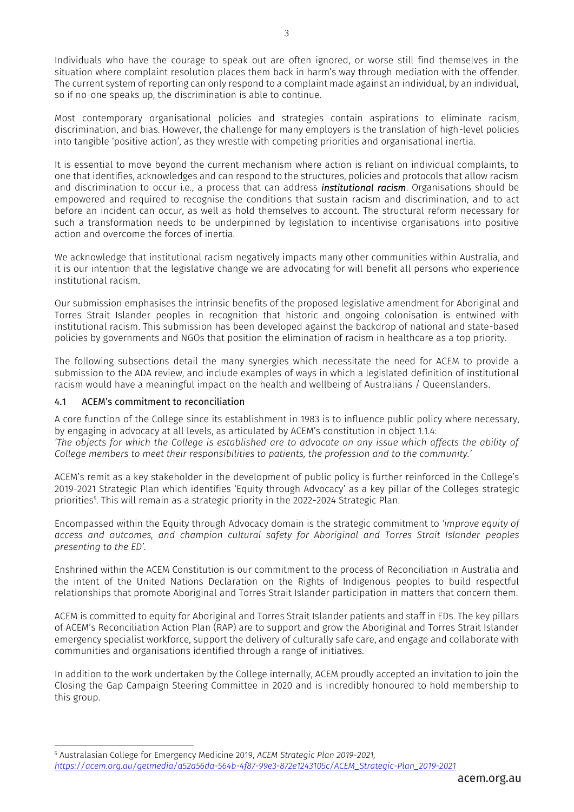Individuals who have the courage to speak out are often ignored, or worse still find themselves in the situation where complaint resolution places them back in harm's way through mediation with the offender. The current system of reporting can only respond to a complaint made against an individual, by an individual, so if no-one speaks up, the discrimination is able to continue.

Most contemporary organisational policies and strategies contain aspirations to eliminate racism, discrimination, and bias. However, the challenge for many employers is the translation of high-level policies into tangible 'positive action', as they wrestle with competing priorities and organisational inertia.

It is essential to move beyond the current mechanism where action is reliant on individual complaints, to one that identifies, acknowledges and can respond to the structures, policies and protocols that allow racism and discrimination to occur i.e., a process that can address *institutional racism*. Organisations should be empowered and required to recognise the conditions that sustain racism and discrimination, and to act before an incident can occur, as well as hold themselves to account. The structural reform necessary for such a transformation needs to be underpinned by legislation to incentivise organisations into positive action and overcome the forces of inertia.

We acknowledge that institutional racism negatively impacts many other communities within Australia, and it is our intention that the legislative change we are advocating for will benefit all persons who experience institutional racism.

Our submission emphasises the intrinsic benefits of the proposed legislative amendment for Aboriginal and Torres Strait Islander peoples in recognition that historic and ongoing colonisation is entwined with institutional racism. This submission has been developed against the backdrop of national and state-based policies by governments and NGOs that position the elimination of racism in healthcare as a top priority.

The following subsections detail the many synergies which necessitate the need for ACEM to provide a submission to the ADA review, and include examples of ways in which a legislated definition of institutional racism would have a meaningful impact on the health and wellbeing of Australians / Queenslanders.

#### 4.1 ACEM's commitment to reconciliation

A core function of the College since its establishment in 1983 is to influence public policy where necessary, by engaging in advocacy at all levels, as articulated by ACEM's constitution in object 1.1.4:

*'The objects for which the College is established are to advocate on any issue which affects the ability of College members to meet their responsibilities to patients, the profession and to the community.'*

ACEM's remit as a key stakeholder in the development of public policy is further reinforced in the College's 2019-2021 Strategic Plan which identifies 'Equity through Advocacy' as a key pillar of the Colleges strategic priorities<sup>5</sup>. This will remain as a strategic priority in the 2022-2024 Strategic Plan.

Encompassed within the Equity through Advocacy domain is the strategic commitment to *'improve equity of access and outcomes, and champion cultural safety for Aboriginal and Torres Strait Islander peoples presenting to the ED'.* 

Enshrined within the ACEM Constitution is our commitment to the process of Reconciliation in Australia and the intent of the United Nations Declaration on the Rights of Indigenous peoples to build respectful relationships that promote Aboriginal and Torres Strait Islander participation in matters that concern them.

ACEM is committed to equity for Aboriginal and Torres Strait Islander patients and staff in EDs. The key pillars of ACEM's Reconciliation Action Plan (RAP) are to support and grow the Aboriginal and Torres Strait Islander emergency specialist workforce, support the delivery of culturally safe care, and engage and collaborate with communities and organisations identified through a range of initiatives.

In addition to the work undertaken by the College internally, ACEM proudly accepted an invitation to join the Closing the Gap Campaign Steering Committee in 2020 and is incredibly honoured to hold membership to this group.

<sup>5</sup> Australasian College for Emergency Medicine 2019, *ACEM Strategic Plan 2019-2021, [https://acem.org.au/getmedia/a52a56da-564b-4f87-99e3-872e1243105c/ACEM\\_Strategic-Plan\\_2019-2021](https://acem.org.au/getmedia/a52a56da-564b-4f87-99e3-872e1243105c/ACEM_Strategic-Plan_2019-2021)*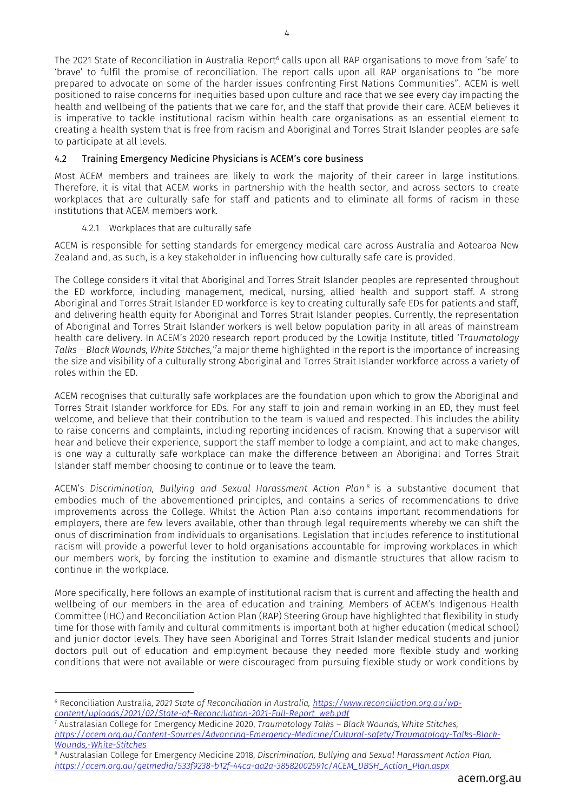The 2021 State of Reconciliation in Australia Report<sup>6</sup> calls upon all RAP organisations to move from 'safe' to 'brave' to fulfil the promise of reconciliation. The report calls upon all RAP organisations to "be more prepared to advocate on some of the harder issues confronting First Nations Communities". ACEM is well positioned to raise concerns for inequities based upon culture and race that we see every day impacting the health and wellbeing of the patients that we care for, and the staff that provide their care. ACEM believes it is imperative to tackle institutional racism within health care organisations as an essential element to creating a health system that is free from racism and Aboriginal and Torres Strait Islander peoples are safe to participate at all levels.

#### 4.2 Training Emergency Medicine Physicians is ACEM's core business

Most ACEM members and trainees are likely to work the majority of their career in large institutions. Therefore, it is vital that ACEM works in partnership with the health sector, and across sectors to create workplaces that are culturally safe for staff and patients and to eliminate all forms of racism in these institutions that ACEM members work.

#### 4.2.1 Workplaces that are culturally safe

ACEM is responsible for setting standards for emergency medical care across Australia and Aotearoa New Zealand and, as such, is a key stakeholder in influencing how culturally safe care is provided.

The College considers it vital that Aboriginal and Torres Strait Islander peoples are represented throughout the ED workforce, including management, medical, nursing, allied health and support staff. A strong Aboriginal and Torres Strait Islander ED workforce is key to creating culturally safe EDs for patients and staff, and delivering health equity for Aboriginal and Torres Strait Islander peoples. Currently, the representation of Aboriginal and Torres Strait Islander workers is well below population parity in all areas of mainstream health care delivery. In ACEM's 2020 research report produced by the Lowitja Institute, titled '*Traumatology Talks – Black Wounds, White Stitches,' <sup>7</sup>*a major theme highlighted in the report is the importance of increasing the size and visibility of a culturally strong Aboriginal and Torres Strait Islander workforce across a variety of roles within the ED.

ACEM recognises that culturally safe workplaces are the foundation upon which to grow the Aboriginal and Torres Strait Islander workforce for EDs. For any staff to join and remain working in an ED, they must feel welcome, and believe that their contribution to the team is valued and respected. This includes the ability to raise concerns and complaints, including reporting incidences of racism. Knowing that a supervisor will hear and believe their experience, support the staff member to lodge a complaint, and act to make changes, is one way a culturally safe workplace can make the difference between an Aboriginal and Torres Strait Islander staff member choosing to continue or to leave the team.

ACEM's *Discrimination, Bullying and Sexual Harassment Action Plan <sup>8</sup>* is a substantive document that embodies much of the abovementioned principles, and contains a series of recommendations to drive improvements across the College. Whilst the Action Plan also contains important recommendations for employers, there are few levers available, other than through legal requirements whereby we can shift the onus of discrimination from individuals to organisations. Legislation that includes reference to institutional racism will provide a powerful lever to hold organisations accountable for improving workplaces in which our members work, by forcing the institution to examine and dismantle structures that allow racism to continue in the workplace.

More specifically, here follows an example of institutional racism that is current and affecting the health and wellbeing of our members in the area of education and training. Members of ACEM's Indigenous Health Committee (IHC) and Reconciliation Action Plan (RAP) Steering Group have highlighted that flexibility in study time for those with family and cultural commitments is important both at higher education (medical school) and junior doctor levels. They have seen Aboriginal and Torres Strait Islander medical students and junior doctors pull out of education and employment because they needed more flexible study and working conditions that were not available or were discouraged from pursuing flexible study or work conditions by

<sup>6</sup> Reconciliation Australia, *2021 State of Reconciliation in Australia, [https://www.reconciliation.org.au/wp](https://www.reconciliation.org.au/wp-content/uploads/2021/02/State-of-Reconciliation-2021-Full-Report_web.pdf)[content/uploads/2021/02/State-of-Reconciliation-2021-Full-Report\\_web.pdf](https://www.reconciliation.org.au/wp-content/uploads/2021/02/State-of-Reconciliation-2021-Full-Report_web.pdf)*

<sup>7</sup> Australasian College for Emergency Medicine 2020, *Traumatology Talks – Black Wounds, White Stitches, [https://acem.org.au/Content-Sources/Advancing-Emergency-Medicine/Cultural-safety/Traumatology-Talks-Black-](https://acem.org.au/Content-Sources/Advancing-Emergency-Medicine/Cultural-safety/Traumatology-Talks-Black-Wounds,-White-Stitches)[Wounds,-White-Stitches](https://acem.org.au/Content-Sources/Advancing-Emergency-Medicine/Cultural-safety/Traumatology-Talks-Black-Wounds,-White-Stitches)*

<sup>8</sup> Australasian College for Emergency Medicine 2018, *Discrimination, Bullying and Sexual Harassment Action Plan, [https://acem.org.au/getmedia/533f9238-b12f-44ca-aa2a-38582002591c/ACEM\\_DBSH\\_Action\\_Plan.aspx](https://acem.org.au/getmedia/533f9238-b12f-44ca-aa2a-38582002591c/ACEM_DBSH_Action_Plan.aspx)*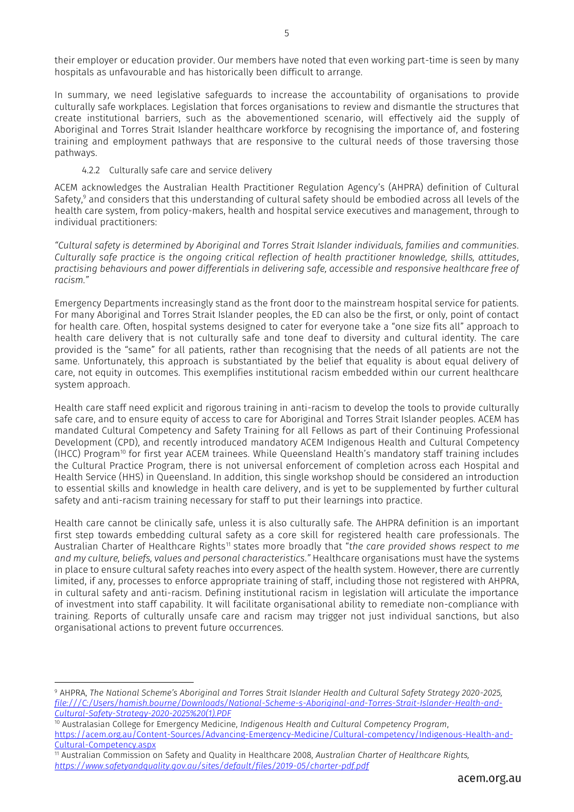their employer or education provider. Our members have noted that even working part-time is seen by many hospitals as unfavourable and has historically been difficult to arrange.

In summary, we need legislative safeguards to increase the accountability of organisations to provide culturally safe workplaces. Legislation that forces organisations to review and dismantle the structures that create institutional barriers, such as the abovementioned scenario, will effectively aid the supply of Aboriginal and Torres Strait Islander healthcare workforce by recognising the importance of, and fostering training and employment pathways that are responsive to the cultural needs of those traversing those pathways.

4.2.2 Culturally safe care and service delivery

ACEM acknowledges the Australian Health Practitioner Regulation Agency's (AHPRA) definition of Cultural Safety, <sup>9</sup> and considers that this understanding of cultural safety should be embodied across all levels of the health care system, from policy-makers, health and hospital service executives and management, through to individual practitioners:

*"Cultural safety is determined by Aboriginal and Torres Strait Islander individuals, families and communities. Culturally safe practice is the ongoing critical reflection of health practitioner knowledge, skills, attitudes, practising behaviours and power differentials in delivering safe, accessible and responsive healthcare free of racism."*

Emergency Departments increasingly stand as the front door to the mainstream hospital service for patients. For many Aboriginal and Torres Strait Islander peoples, the ED can also be the first, or only, point of contact for health care. Often, hospital systems designed to cater for everyone take a "one size fits all" approach to health care delivery that is not culturally safe and tone deaf to diversity and cultural identity. The care provided is the "same" for all patients, rather than recognising that the needs of all patients are not the same. Unfortunately, this approach is substantiated by the belief that equality is about equal delivery of care, not equity in outcomes. This exemplifies institutional racism embedded within our current healthcare system approach.

Health care staff need explicit and rigorous training in anti-racism to develop the tools to provide culturally safe care, and to ensure equity of access to care for Aboriginal and Torres Strait Islander peoples. ACEM has mandated Cultural Competency and Safety Training for all Fellows as part of their Continuing Professional Development (CPD), and recently introduced mandatory ACEM Indigenous Health and Cultural Competency (IHCC) Program<sup>10</sup> for first year ACEM trainees. While Queensland Health's mandatory staff training includes the Cultural Practice Program, there is not universal enforcement of completion across each Hospital and Health Service (HHS) in Queensland. In addition, this single workshop should be considered an introduction to essential skills and knowledge in health care delivery, and is yet to be supplemented by further cultural safety and anti-racism training necessary for staff to put their learnings into practice.

Health care cannot be clinically safe, unless it is also culturally safe. The AHPRA definition is an important first step towards embedding cultural safety as a core skill for registered health care professionals. The Australian Charter of Healthcare Rights<sup>11</sup> states more broadly that "*the care provided shows respect to me and my culture, beliefs, values and personal characteristics."* Healthcare organisations must have the systems in place to ensure cultural safety reaches into every aspect of the health system. However, there are currently limited, if any, processes to enforce appropriate training of staff, including those not registered with AHPRA, in cultural safety and anti-racism. Defining institutional racism in legislation will articulate the importance of investment into staff capability. It will facilitate organisational ability to remediate non-compliance with training. Reports of culturally unsafe care and racism may trigger not just individual sanctions, but also organisational actions to prevent future occurrences.

<sup>9</sup> AHPRA, *The National Scheme's Aboriginal and Torres Strait Islander Health and Cultural Safety Strategy 2020-2025, [file:///C:/Users/hamish.bourne/Downloads/National-Scheme-s-Aboriginal-and-Torres-Strait-Islander-Health-and-](file:///C:/Users/hamish.bourne/Downloads/National-Scheme-s-Aboriginal-and-Torres-Strait-Islander-Health-and-Cultural-Safety-Strategy-2020-2025%20(1).PDF)[Cultural-Safety-Strategy-2020-2025%20\(1\).PDF](file:///C:/Users/hamish.bourne/Downloads/National-Scheme-s-Aboriginal-and-Torres-Strait-Islander-Health-and-Cultural-Safety-Strategy-2020-2025%20(1).PDF)*

<sup>10</sup> Australasian College for Emergency Medicine, *Indigenous Health and Cultural Competency Program*, [https://acem.org.au/Content-Sources/Advancing-Emergency-Medicine/Cultural-competency/Indigenous-Health-and-](https://acem.org.au/Content-Sources/Advancing-Emergency-Medicine/Cultural-competency/Indigenous-Health-and-Cultural-Competency.aspx)[Cultural-Competency.aspx](https://acem.org.au/Content-Sources/Advancing-Emergency-Medicine/Cultural-competency/Indigenous-Health-and-Cultural-Competency.aspx)

<sup>11</sup> Australian Commission on Safety and Quality in Healthcare 2008, *Australian Charter of Healthcare Rights, <https://www.safetyandquality.gov.au/sites/default/files/2019-05/charter-pdf.pdf>*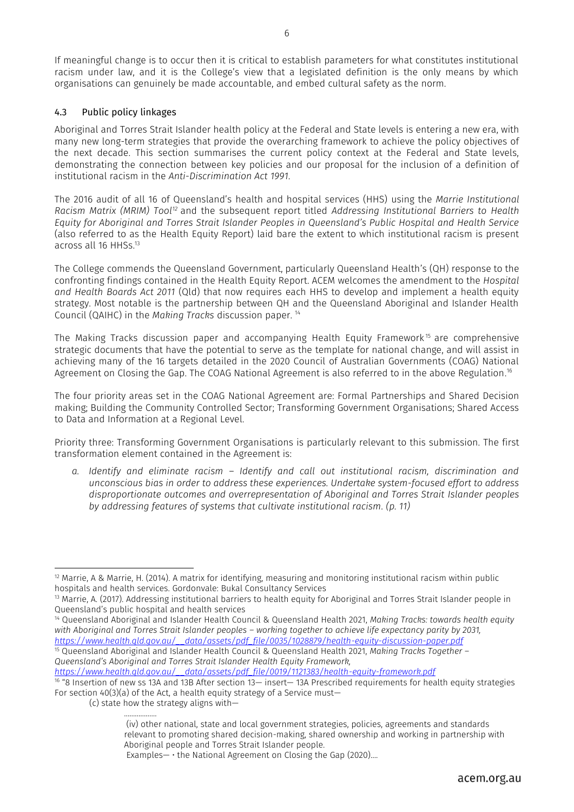If meaningful change is to occur then it is critical to establish parameters for what constitutes institutional racism under law, and it is the College's view that a legislated definition is the only means by which organisations can genuinely be made accountable, and embed cultural safety as the norm.

#### 4.3 Public policy linkages

Aboriginal and Torres Strait Islander health policy at the Federal and State levels is entering a new era, with many new long-term strategies that provide the overarching framework to achieve the policy objectives of the next decade. This section summarises the current policy context at the Federal and State levels, demonstrating the connection between key policies and our proposal for the inclusion of a definition of institutional racism in the *Anti-Discrimination Act 1991*.

The 2016 audit of all 16 of Queensland's health and hospital services (HHS) using the *Marrie Institutional Racism Matrix (MRIM) Tool<sup>12</sup>* and the subsequent report titled *Addressing Institutional Barriers to Health Equity for Aboriginal and Torres Strait Islander Peoples in Queensland's Public Hospital and Health Service* (also referred to as the Health Equity Report) laid bare the extent to which institutional racism is present across all 16 HHSs. 13

The College commends the Queensland Government, particularly Queensland Health's (QH) response to the confronting findings contained in the Health Equity Report. ACEM welcomes the amendment to the *Hospital and Health Boards Act 2011* (Qld) that now requires each HHS to develop and implement a health equity strategy. Most notable is the partnership between QH and the Queensland Aboriginal and Islander Health Council (QAIHC) in the *Making Tracks* discussion paper. <sup>14</sup>

The Making Tracks discussion paper and accompanying Health Equity Framework<sup>15</sup> are comprehensive strategic documents that have the potential to serve as the template for national change, and will assist in achieving many of the 16 targets detailed in the 2020 Council of Australian Governments (COAG) National Agreement on Closing the Gap. The COAG National Agreement is also referred to in the above Regulation. $^{\text{16}}$ 

The four priority areas set in the COAG National Agreement are: Formal Partnerships and Shared Decision making; Building the Community Controlled Sector; Transforming Government Organisations; Shared Access to Data and Information at a Regional Level.

Priority three: Transforming Government Organisations is particularly relevant to this submission. The first transformation element contained in the Agreement is:

*a. Identify and eliminate racism – Identify and call out institutional racism, discrimination and unconscious bias in order to address these experiences. Undertake system-focused effort to address disproportionate outcomes and overrepresentation of Aboriginal and Torres Strait Islander peoples by addressing features of systems that cultivate institutional racism. (p. 11)*

<sup>15</sup> Queensland Aboriginal and Islander Health Council & Queensland Health 2021, *Making Tracks Together – Queensland's Aboriginal and Torres Strait Islander Health Equity Framework,* 

*[https://www.health.qld.gov.au/\\_\\_data/assets/pdf\\_file/0019/1121383/health-equity-framework.pdf](https://www.health.qld.gov.au/__data/assets/pdf_file/0019/1121383/health-equity-framework.pdf)*

<sup>16</sup> "8 Insertion of new ss 13A and 13B After section 13— insert— 13A Prescribed requirements for health equity strategies For section 40(3)(a) of the Act, a health equity strategy of a Service must—

………………

Examples—  $\cdot$  the National Agreement on Closing the Gap (2020)....

 $12$  Marrie, A & Marrie, H. (2014). A matrix for identifying, measuring and monitoring institutional racism within public hospitals and health services. Gordonvale: Bukal Consultancy Services

<sup>&</sup>lt;sup>13</sup> Marrie, A. (2017). Addressing institutional barriers to health equity for Aboriginal and Torres Strait Islander people in Queensland's public hospital and health services

<sup>14</sup> Queensland Aboriginal and Islander Health Council & Queensland Health 2021, *Making Tracks: towards health equity*  with Aboriginal and Torres Strait Islander peoples – working together to achieve life expectancy parity by 2031, *[https://www.health.qld.gov.au/\\_\\_data/assets/pdf\\_file/0035/1028879/health-equity-discussion-paper.pdf](https://www.health.qld.gov.au/__data/assets/pdf_file/0035/1028879/health-equity-discussion-paper.pdf)*

<sup>(</sup>c) state how the strategy aligns with—

<sup>(</sup>iv) other national, state and local government strategies, policies, agreements and standards relevant to promoting shared decision-making, shared ownership and working in partnership with Aboriginal people and Torres Strait Islander people.